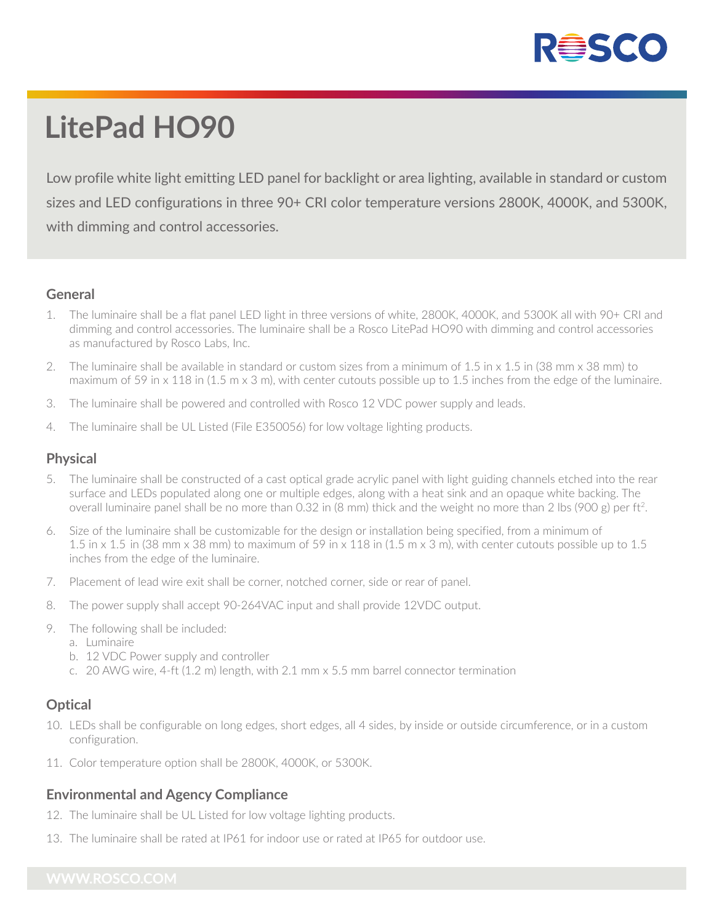

# **LitePad HO90**

Low profile white light emitting LED panel for backlight or area lighting, available in standard or custom sizes and LED configurations in three 90+ CRI color temperature versions 2800K, 4000K, and 5300K, with dimming and control accessories.

#### **General**

- 1. The luminaire shall be a flat panel LED light in three versions of white, 2800K, 4000K, and 5300K all with 90+ CRI and dimming and control accessories. The luminaire shall be a Rosco LitePad HO90 with dimming and control accessories as manufactured by Rosco Labs, Inc.
- 2. The luminaire shall be available in standard or custom sizes from a minimum of 1.5 in x 1.5 in (38 mm x 38 mm) to maximum of 59 in x 118 in  $(1.5 \text{ m} \times 3 \text{ m})$ , with center cutouts possible up to 1.5 inches from the edge of the luminaire.
- 3. The luminaire shall be powered and controlled with Rosco 12 VDC power supply and leads.
- 4. The luminaire shall be UL Listed (File E350056) for low voltage lighting products.

#### **Physical**

- The luminaire shall be constructed of a cast optical grade acrylic panel with light guiding channels etched into the rear surface and LEDs populated along one or multiple edges, along with a heat sink and an opaque white backing. The overall luminaire panel shall be no more than 0.32 in (8 mm) thick and the weight no more than 2 lbs (900 g) per ft2.
- 6. Size of the luminaire shall be customizable for the design or installation being specified, from a minimum of 1.5 in x 1.5 in (38 mm x 38 mm) to maximum of 59 in x 118 in (1.5 m x 3 m), with center cutouts possible up to 1.5 inches from the edge of the luminaire.
- 7. Placement of lead wire exit shall be corner, notched corner, side or rear of panel.
- 8. The power supply shall accept 90-264VAC input and shall provide 12VDC output.
- 9. The following shall be included:
	- a. Luminaire
	- b. 12 VDC Power supply and controller
	- c. 20 AWG wire, 4-ft (1.2 m) length, with 2.1 mm x 5.5 mm barrel connector termination

### **Optical**

- 10. LEDs shall be configurable on long edges, short edges, all 4 sides, by inside or outside circumference, or in a custom configuration.
- 11. Color temperature option shall be 2800K, 4000K, or 5300K.

#### **Environmental and Agency Compliance**

- 12. The luminaire shall be UL Listed for low voltage lighting products.
- 13. The luminaire shall be rated at IP61 for indoor use or rated at IP65 for outdoor use.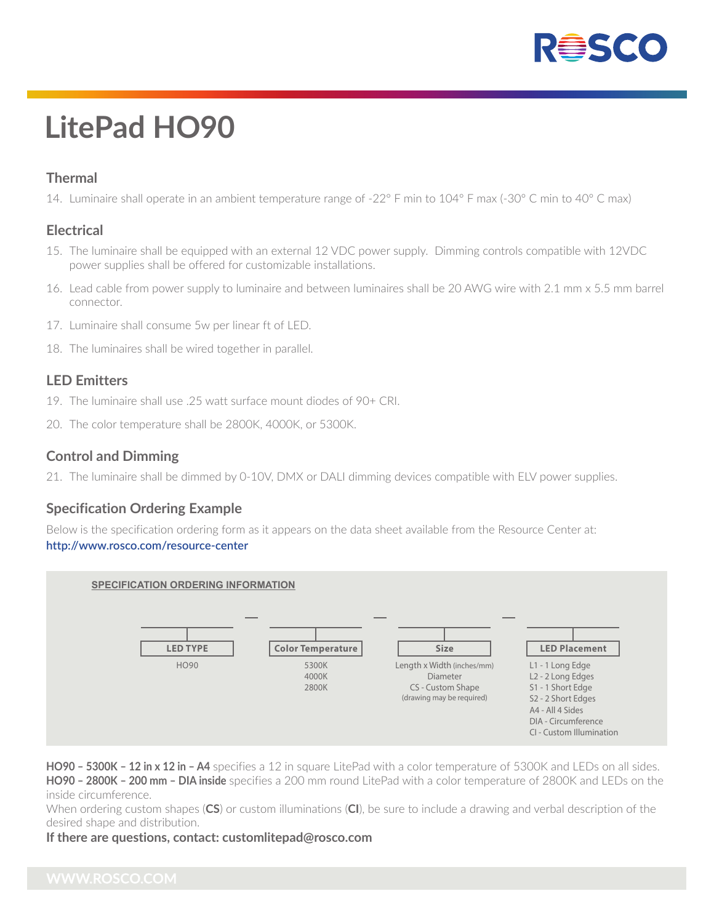

# **LitePad HO90**

### **Thermal**

14. Luminaire shall operate in an ambient temperature range of -22° F min to 104° F max (-30° C min to 40° C max)

#### **Electrical**

- 15. The luminaire shall be equipped with an external 12 VDC power supply. Dimming controls compatible with 12VDC power supplies shall be offered for customizable installations.
- 16. Lead cable from power supply to luminaire and between luminaires shall be 20 AWG wire with 2.1 mm x 5.5 mm barrel connector.
- 17. Luminaire shall consume 5w per linear ft of LED.
- 18. The luminaires shall be wired together in parallel.

#### **LED Emitters**

- 19. The luminaire shall use .25 watt surface mount diodes of 90+ CRI.
- 20. The color temperature shall be 2800K, 4000K, or 5300K.

#### **Control and Dimming**

21. The luminaire shall be dimmed by 0-10V, DMX or DALI dimming devices compatible with ELV power supplies.

#### **Specification Ordering Example**

Below is the specification ordering form as it appears on the data sheet available from the Resource Center at: **http://www.rosco.com/resource-center**



**HO90 – 5300K – 12 in x 12 in – A4** specifies a 12 in square LitePad with a color temperature of 5300K and LEDs on all sides. **HO90 – 2800K – 200 mm – DIA inside** specifies a 200 mm round LitePad with a color temperature of 2800K and LEDs on the inside circumference.

When ordering custom shapes (**CS**) or custom illuminations (**CI**), be sure to include a drawing and verbal description of the desired shape and distribution.

#### **If there are questions, contact: customlitepad@rosco.com**